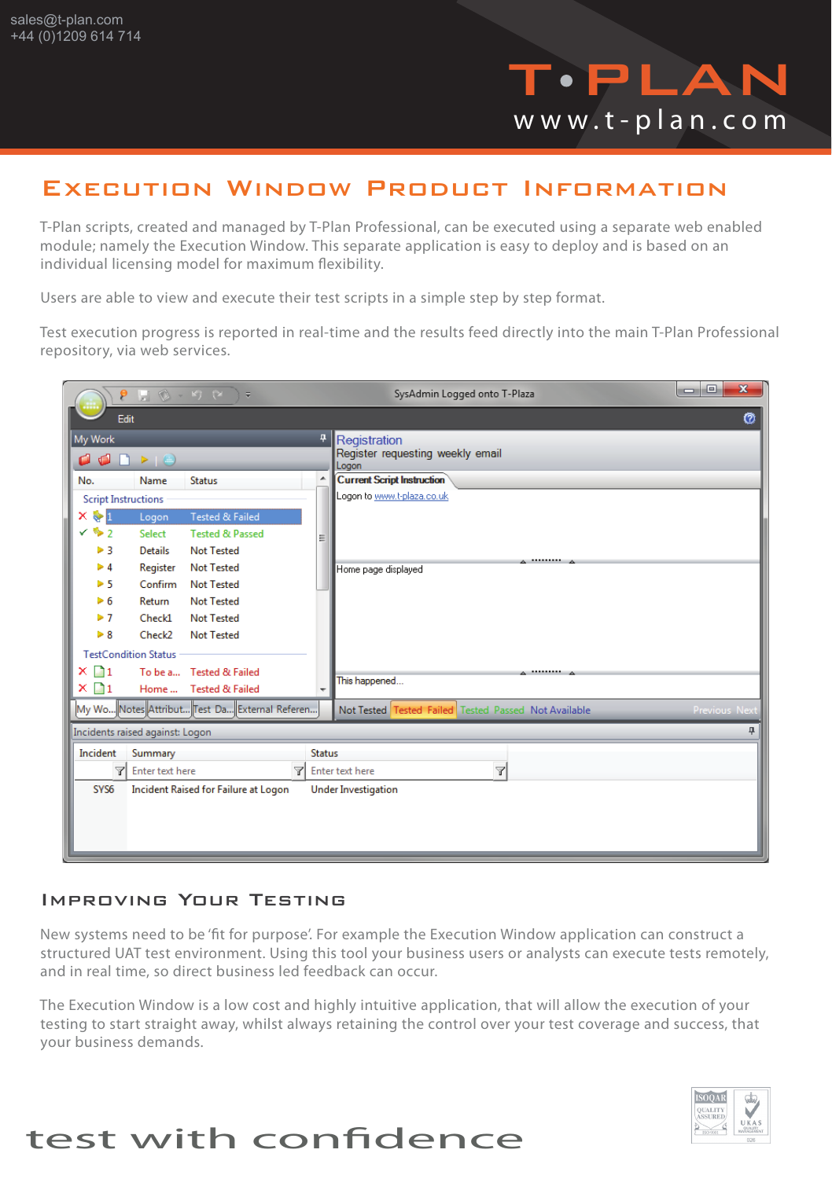

### Execution Window Product Information

T-Plan scripts, created and managed by T-Plan Professional, can be executed using a separate web enabled module; namely the Execution Window. This separate application is easy to deploy and is based on an individual licensing model for maximum flexibility.

Users are able to view and execute their test scripts in a simple step by step format.

Test execution progress is reported in real-time and the results feed directly into the main T-Plan Professional repository, via web services.

|                                                                                               |                    | $\equiv$                                      |   | SysAdmin Logged onto T-Plaza                         | $\mathbf{x}$<br>$\Box$<br>œ |
|-----------------------------------------------------------------------------------------------|--------------------|-----------------------------------------------|---|------------------------------------------------------|-----------------------------|
| Ø<br>Edit                                                                                     |                    |                                               |   |                                                      |                             |
| My Work                                                                                       |                    |                                               | 4 | Registration                                         |                             |
| $\begin{array}{c} \square \rightarrow \square \end{array}$<br>O<br>$\mathbb{C}$               |                    |                                               |   | Register requesting weekly email<br>Logon            |                             |
| No.                                                                                           | Name               | <b>Status</b>                                 | ۸ | <b>Current Script Instruction</b>                    |                             |
| <b>Script Instructions</b>                                                                    |                    |                                               |   | Logon to www.t-plaza.co.uk                           |                             |
| × ∳I                                                                                          | Logon              | <b>Tested &amp; Failed</b>                    |   |                                                      |                             |
| $\times$ % 2                                                                                  | Select             | <b>Tested &amp; Passed</b>                    | 릐 |                                                      |                             |
| ▶ 3                                                                                           | <b>Details</b>     | <b>Not Tested</b>                             |   |                                                      |                             |
| > 4                                                                                           | Register           | <b>Not Tested</b>                             |   | Home page displayed                                  |                             |
| 5 <sup>5</sup>                                                                                | Confirm            | <b>Not Tested</b>                             |   |                                                      |                             |
| ▶ 6                                                                                           | Return             | <b>Not Tested</b>                             |   |                                                      |                             |
| ⊳ 7                                                                                           | Check1             | <b>Not Tested</b>                             |   |                                                      |                             |
| $\triangleright$ 8                                                                            | Check <sub>2</sub> | <b>Not Tested</b>                             |   |                                                      |                             |
| <b>TestCondition Status</b>                                                                   |                    |                                               |   |                                                      |                             |
| $\times$ M1                                                                                   |                    | To be a Tested & Failed                       |   | .<br>This happened                                   |                             |
| $\times \Box$ 1                                                                               |                    | Home  Tested & Failed                         |   |                                                      |                             |
|                                                                                               |                    | My Wo Notes Attribut Test Da External Referen |   | Not Tested Tested Failed Tested Passed Not Available | Previous Next               |
| 4<br>Incidents raised against: Logon                                                          |                    |                                               |   |                                                      |                             |
| Incident<br>Summary<br><b>Status</b>                                                          |                    |                                               |   |                                                      |                             |
| $\overline{\mathbb{Y}}$<br>$\triangledown$<br><sub>了</sub> Enter text here<br>Enter text here |                    |                                               |   |                                                      |                             |
| SYS <sub>6</sub><br>Incident Raised for Failure at Logon<br><b>Under Investigation</b>        |                    |                                               |   |                                                      |                             |
|                                                                                               |                    |                                               |   |                                                      |                             |
|                                                                                               |                    |                                               |   |                                                      |                             |
|                                                                                               |                    |                                               |   |                                                      |                             |
|                                                                                               |                    |                                               |   |                                                      |                             |

#### Improving Your Testing

New systems need to be 'fit for purpose'. For example the Execution Window application can construct a structured UAT test environment. Using this tool your business users or analysts can execute tests remotely, and in real time, so direct business led feedback can occur.

The Execution Window is a low cost and highly intuitive application, that will allow the execution of your testing to start straight away, whilst always retaining the control over your test coverage and success, that your business demands.



## test with confidence